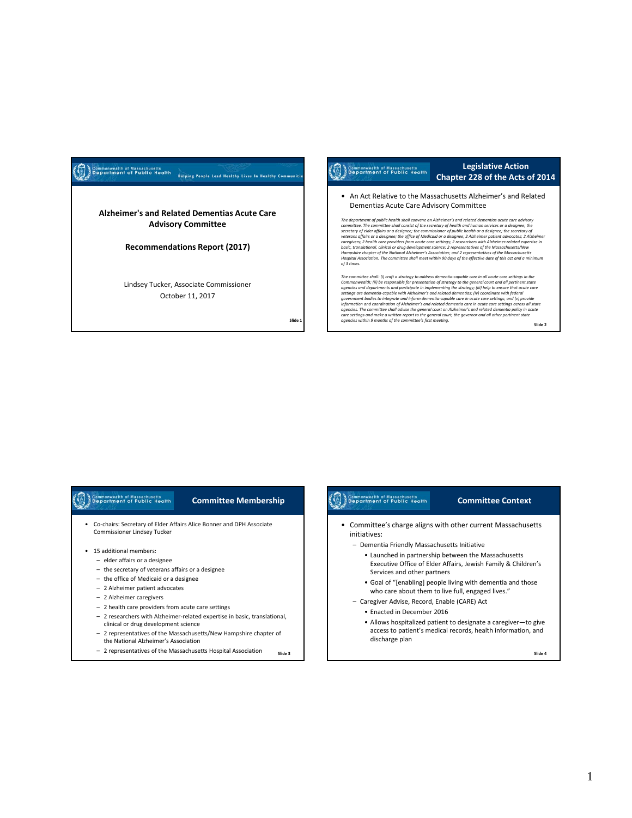# Commonwealth of Massachusetts<br> **Department of Public Health Helping People Lead Healthy Lives In Healthy Communiti Alzheimer's and Related Dementias Acute Care Advisory Committee Recommendations Report (2017)** Lindsey Tucker, Associate Commissioner October 11, 2017

**Slide 1**

## Commonwealth of Massachusetts<br>Separtment of Public Health

## **Legislative Action Chapter 228 of the Acts of 2014**

• An Act Relative to the Massachusetts Alzheimer's and Related Dementias Acute Care Advisory Committee

The department of public health shall convene an Althelmer's and related etementias coute care advisory<br>committee. The committee shall consist of the secretary of health and human services or a designee; the<br>secretary of Hospital Association. The committee shall meet within 90 days of the effective date of this act and a minimum<br>of 3 times.

The committee shall: (i) craft a strategy to address dementia-capable care in all acute care settings in the<br>Commonwealth; (ii) be responsible for presentation of strategy to the general court and all pertinent state Commonwealth; (ii) be responsible for presentation of strategy to the general court and all pertinents state approaches approximate and experiments of general computer in implementing the strategy; (iii) help to ensure th

#### Commonwealth of Massachusetts<br>Bepartment of Public Health **Committee Membership**

- Co‐chairs: Secretary of Elder Affairs Alice Bonner and DPH Associate Commissioner Lindsey Tucker
- 15 additional members:
	- elder affairs or a designee
	- the secretary of veterans affairs or a designee
	- the office of Medicaid or a designee
	- 2 Alzheimer patient advocates
	- 2 Alzheimer caregivers
	- 2 health care providers from acute care settings
	- 2 researchers with Alzheimer‐related expertise in basic, translational, clinical or drug development science
	- 2 representatives of the Massachusetts/New Hampshire chapter of the National Alzheimer's Association
	- 2 representatives of the Massachusetts Hospital Association **Slide <sup>3</sup>**

## • Committee's charge aligns with other current Massachusetts initiatives: – Dementia Friendly Massachusetts Initiative • Launched in partnership between the Massachusetts Executive Office of Elder Affairs, Jewish Family & Children's Services and other partners • Goal of "[enabling] people living with dementia and those

**Committee Context**

- who care about them to live full, engaged lives."
- Caregiver Advise, Record, Enable (CARE) Act
	- Enacted in December 2016

Commonwealth of Massachusetts<br>Supportment of Public Health

• Allows hospitalized patient to designate a caregiver—to give access to patient's medical records, health information, and discharge plan

**Slide 4**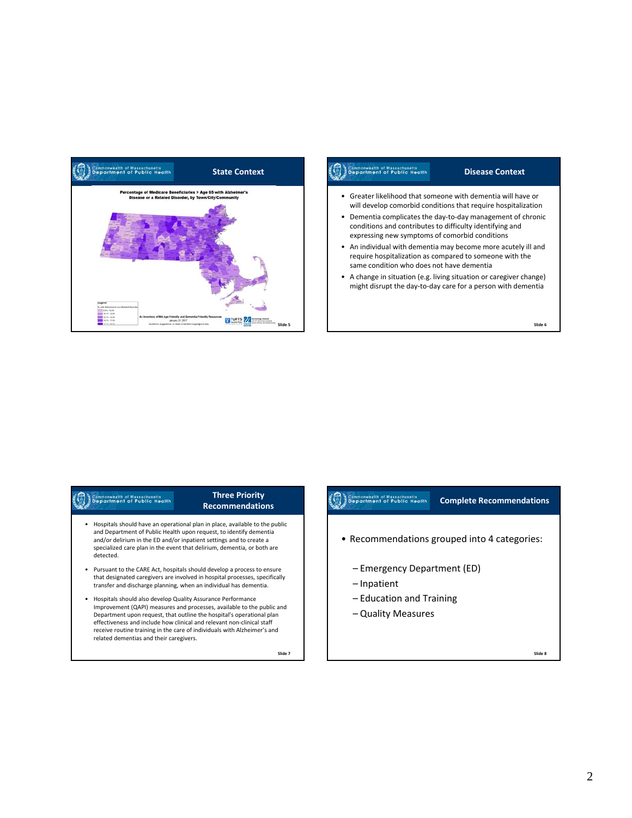

## Commonwealth of Massachusetts<br>Copportment of Public Health

## **Disease Context**

- Greater likelihood that someone with dementia will have or will develop comorbid conditions that require hospitalization
- Dementia complicates the day‐to‐day management of chronic conditions and contributes to difficulty identifying and expressing new symptoms of comorbid conditions
- An individual with dementia may become more acutely ill and require hospitalization as compared to someone with the same condition who does not have dementia
- A change in situation (e.g. living situation or caregiver change) might disrupt the day‐to‐day care for a person with dementia

#### **Slide 6**

# Commonwealth of Massachusetts<br>Bepartment of Public Health

## **Three Priority Recommendations**

- Hospitals should have an operational plan in place, available to the public and Department of Public Health upon request, to identify dementia and/or delirium in the ED and/or inpatient settings and to create a specialized care plan in the event that delirium, dementia, or both are detected.
- Pursuant to the CARE Act, hospitals should develop a process to ensure that designated caregivers are involved in hospital processes, specifically transfer and discharge planning, when an individual has dementia.
- Hospitals should also develop Quality Assurance Performance Improvement (QAPI) measures and processes, available to the public and Department upon request, that outline the hospital's operational plan effectiveness and include how clinical and relevant non‐clinical staff receive routine training in the care of individuals with Alzheimer's and related dementias and their caregivers.

**Slide 7**

#### Commonwealth of Massachusetts<br>Bepartment of Public Health **Complete Recommendations**

- Recommendations grouped into 4 categories:
	- Emergency Department (ED)
	- Inpatient
	- Education and Training
	- Quality Measures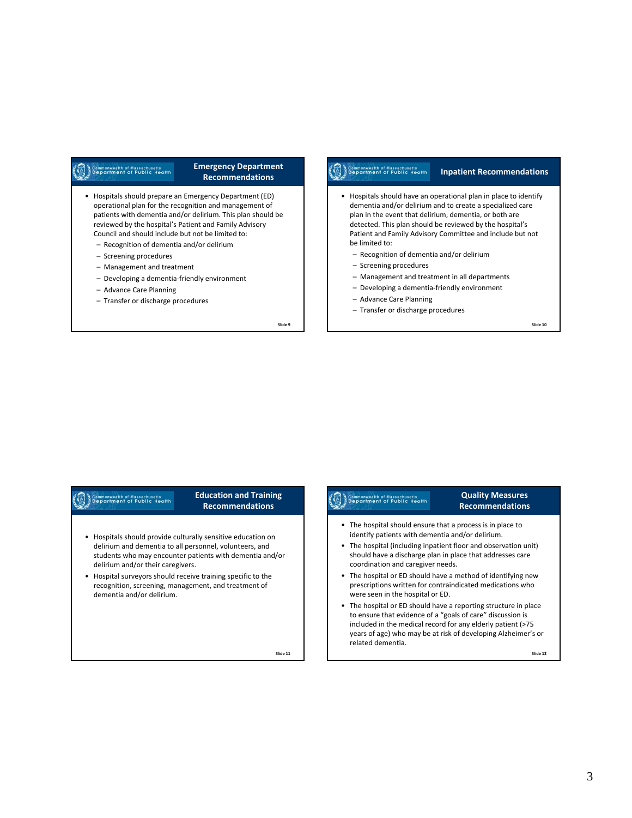# Commonwealth of Massachusetts<br>Commonwealth of Public Health

### **Emergency Department Recommendations**

- Hospitals should prepare an Emergency Department (ED) operational plan for the recognition and management of patients with dementia and/or delirium. This plan should be reviewed by the hospital's Patient and Family Advisory Council and should include but not be limited to:
	- Recognition of dementia and/or delirium
	- Screening procedures
	- Management and treatment
	- Developing a dementia‐friendly environment
	- Advance Care Planning
	- Transfer or discharge procedures

**Slide 9**

#### Commonwealth of Massachusetts<br>Commonwealth of Public Health **Inpatient Recommendations**

- Hospitals should have an operational plan in place to identify dementia and/or delirium and to create a specialized care plan in the event that delirium, dementia, or both are detected. This plan should be reviewed by the hospital's Patient and Family Advisory Committee and include but not be limited to:
	- Recognition of dementia and/or delirium
	- Screening procedures
	- Management and treatment in all departments
	- Developing a dementia‐friendly environment
	- Advance Care Planning
	- Transfer or discharge procedures

**Slide 10**

## Commonwealth of Massachusetts<br>Department of Public Health

## **Education and Training Recommendations**

- Hospitals should provide culturally sensitive education on delirium and dementia to all personnel, volunteers, and students who may encounter patients with dementia and/or delirium and/or their caregivers.
- Hospital surveyors should receive training specific to the recognition, screening, management, and treatment of dementia and/or delirium.

**Slide 11**

# Commonwealth of Massachusetts<br>Commonwealth of Public Health

## **Quality Measures Recommendations**

- The hospital should ensure that a process is in place to identify patients with dementia and/or delirium.
- The hospital (including inpatient floor and observation unit) should have a discharge plan in place that addresses care coordination and caregiver needs.
- The hospital or ED should have a method of identifying new prescriptions written for contraindicated medications who were seen in the hospital or ED.
- The hospital or ED should have a reporting structure in place to ensure that evidence of a "goals of care" discussion is included in the medical record for any elderly patient (>75 years of age) who may be at risk of developing Alzheimer's or related dementia.

**Slide 12**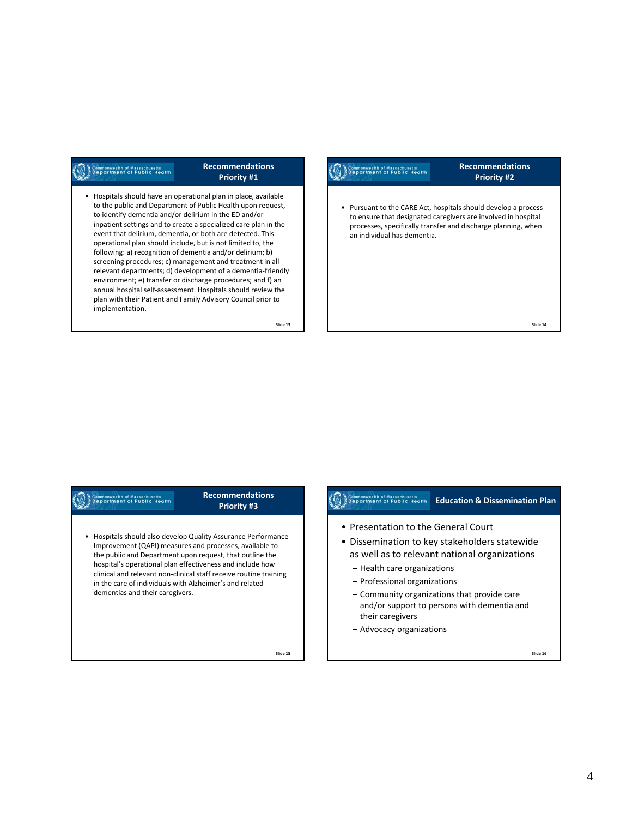# Commonwealth of Massachusetts<br>Commonwealth of Public Health

## **Recommendations Priority #1**

• Hospitals should have an operational plan in place, available to the public and Department of Public Health upon request, to identify dementia and/or delirium in the ED and/or inpatient settings and to create a specialized care plan in the event that delirium, dementia, or both are detected. This operational plan should include, but is not limited to, the following: a) recognition of dementia and/or delirium; b) screening procedures; c) management and treatment in all relevant departments; d) development of a dementia‐friendly environment; e) transfer or discharge procedures; and f) an annual hospital self‐assessment. Hospitals should review the plan with their Patient and Family Advisory Council prior to implementation.

**Slide 13**

## Commonwealth of Massachusetts<br>Coppartment of Public Health

## **Recommendations Priority #2**

• Pursuant to the CARE Act, hospitals should develop a process to ensure that designated caregivers are involved in hospital processes, specifically transfer and discharge planning, when an individual has dementia.

**Slide 14**

# Commonwealth of Massachusetts<br>Department of Public Health

## **Recommendations Priority #3**

• Hospitals should also develop Quality Assurance Performance Improvement (QAPI) measures and processes, available to the public and Department upon request, that outline the hospital's operational plan effectiveness and include how clinical and relevant non‐clinical staff receive routine training in the care of individuals with Alzheimer's and related dementias and their caregivers.

**Education** Commonwealth of Massachusetts<br> **Education & Dissemination Plan** 

- Presentation to the General Court
- Dissemination to key stakeholders statewide as well as to relevant national organizations
	- Health care organizations
	- Professional organizations
	- Community organizations that provide care and/or support to persons with dementia and their caregivers
	- Advocacy organizations

**Slide 15**

#### **Slide 16**